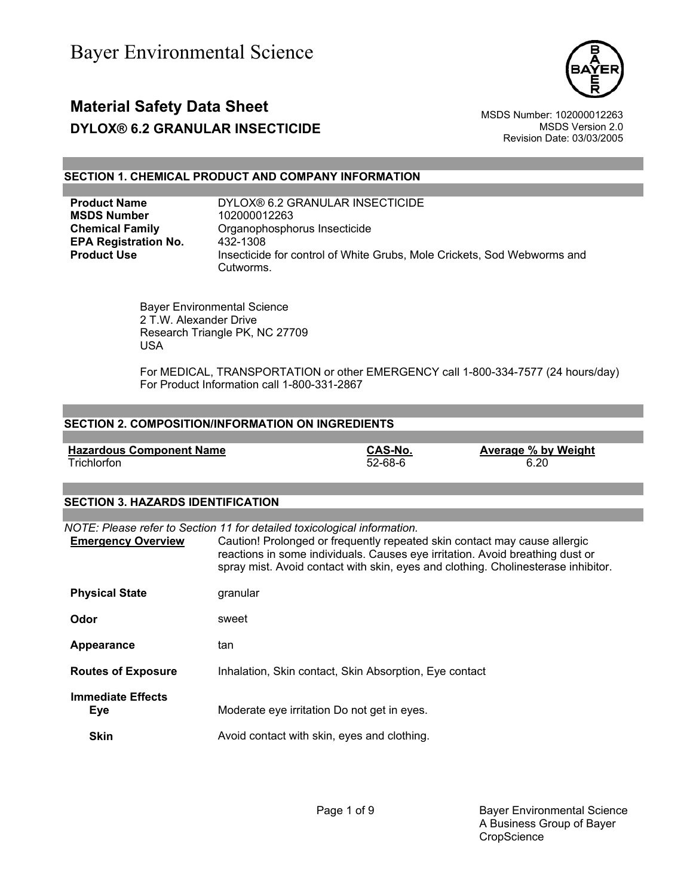

# **Material Safety Data Sheet** Material Safety Data Sheet MSDS Number: 102000012263 **DYLOX® 6.2 GRANULAR INSECTICIDE** MSDS Version 2.0

Revision Date: 03/03/2005

### **SECTION 1. CHEMICAL PRODUCT AND COMPANY INFORMATION**

| <b>Product Name</b>         | DYLOX® 6.2 GRANULAR INSECTICIDE                                                      |
|-----------------------------|--------------------------------------------------------------------------------------|
| <b>MSDS Number</b>          | 102000012263                                                                         |
| <b>Chemical Family</b>      | Organophosphorus Insecticide                                                         |
| <b>EPA Registration No.</b> | 432-1308                                                                             |
| <b>Product Use</b>          | Insecticide for control of White Grubs, Mole Crickets, Sod Webworms and<br>Cutworms. |
|                             |                                                                                      |

 Bayer Environmental Science 2 T.W. Alexander Drive Research Triangle PK, NC 27709 USA

 For MEDICAL, TRANSPORTATION or other EMERGENCY call 1-800-334-7577 (24 hours/day) For Product Information call 1-800-331-2867

### **SECTION 2. COMPOSITION/INFORMATION ON INGREDIENTS**

| <b>Hazardous Component Name</b> | <b>CAS-No.</b> | Average % by Weight |
|---------------------------------|----------------|---------------------|
| Trichlorfon                     | $52 - 68 - 6$  | 6.20                |

### **SECTION 3. HAZARDS IDENTIFICATION**

| <b>Emergency Overview</b>              | NOTE: Please refer to Section 11 for detailed toxicological information.<br>Caution! Prolonged or frequently repeated skin contact may cause allergic<br>reactions in some individuals. Causes eye irritation. Avoid breathing dust or<br>spray mist. Avoid contact with skin, eyes and clothing. Cholinesterase inhibitor. |
|----------------------------------------|-----------------------------------------------------------------------------------------------------------------------------------------------------------------------------------------------------------------------------------------------------------------------------------------------------------------------------|
| <b>Physical State</b>                  | granular                                                                                                                                                                                                                                                                                                                    |
| Odor                                   | sweet                                                                                                                                                                                                                                                                                                                       |
| Appearance                             | tan                                                                                                                                                                                                                                                                                                                         |
| <b>Routes of Exposure</b>              | Inhalation, Skin contact, Skin Absorption, Eye contact                                                                                                                                                                                                                                                                      |
| <b>Immediate Effects</b><br><b>Eye</b> | Moderate eye irritation Do not get in eyes.                                                                                                                                                                                                                                                                                 |
| <b>Skin</b>                            | Avoid contact with skin, eyes and clothing.                                                                                                                                                                                                                                                                                 |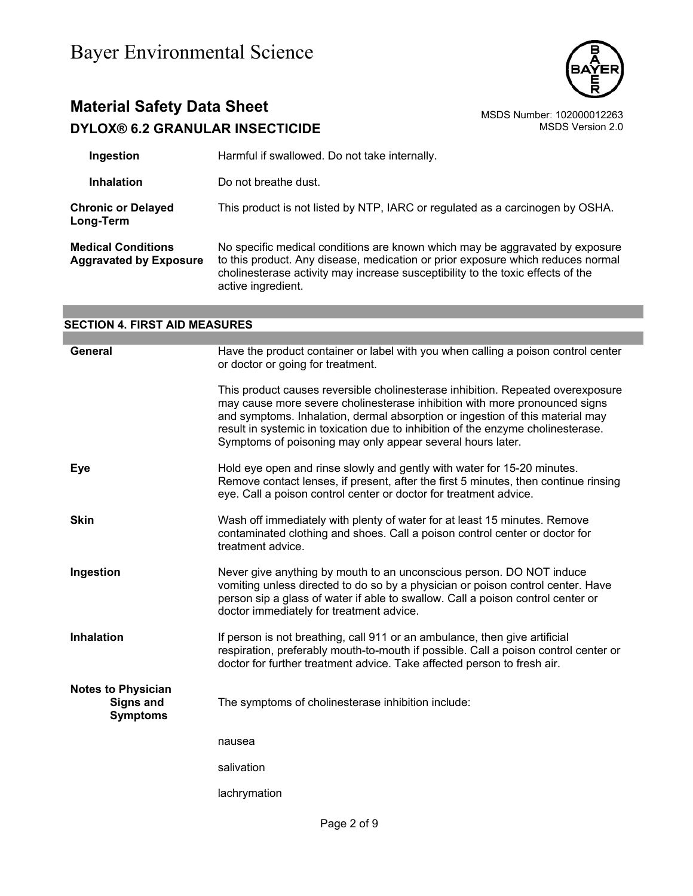

# **Material Safety Data Sheet**<br>DYLOX® 6.2 GRANULAR INSECTICIDE MSDS Number: 102000012263 **DYLOX® 6.2 GRANULAR INSECTICIDE**

| Ingestion                                                  | Harmful if swallowed. Do not take internally.                                                                                                                                                                                                                            |
|------------------------------------------------------------|--------------------------------------------------------------------------------------------------------------------------------------------------------------------------------------------------------------------------------------------------------------------------|
| <b>Inhalation</b>                                          | Do not breathe dust.                                                                                                                                                                                                                                                     |
| <b>Chronic or Delayed</b><br>Long-Term                     | This product is not listed by NTP, IARC or regulated as a carcinogen by OSHA.                                                                                                                                                                                            |
| <b>Medical Conditions</b><br><b>Aggravated by Exposure</b> | No specific medical conditions are known which may be aggravated by exposure<br>to this product. Any disease, medication or prior exposure which reduces normal<br>cholinesterase activity may increase susceptibility to the toxic effects of the<br>active ingredient. |

| <b>SECTION 4. FIRST AID MEASURES</b>                             |                                                                                                                                                                                                                                                                                                                                                                                                  |  |
|------------------------------------------------------------------|--------------------------------------------------------------------------------------------------------------------------------------------------------------------------------------------------------------------------------------------------------------------------------------------------------------------------------------------------------------------------------------------------|--|
|                                                                  |                                                                                                                                                                                                                                                                                                                                                                                                  |  |
| <b>General</b>                                                   | Have the product container or label with you when calling a poison control center<br>or doctor or going for treatment.                                                                                                                                                                                                                                                                           |  |
|                                                                  | This product causes reversible cholinesterase inhibition. Repeated overexposure<br>may cause more severe cholinesterase inhibition with more pronounced signs<br>and symptoms. Inhalation, dermal absorption or ingestion of this material may<br>result in systemic in toxication due to inhibition of the enzyme cholinesterase.<br>Symptoms of poisoning may only appear several hours later. |  |
| Eye                                                              | Hold eye open and rinse slowly and gently with water for 15-20 minutes.<br>Remove contact lenses, if present, after the first 5 minutes, then continue rinsing<br>eye. Call a poison control center or doctor for treatment advice.                                                                                                                                                              |  |
| <b>Skin</b>                                                      | Wash off immediately with plenty of water for at least 15 minutes. Remove<br>contaminated clothing and shoes. Call a poison control center or doctor for<br>treatment advice.                                                                                                                                                                                                                    |  |
| Ingestion                                                        | Never give anything by mouth to an unconscious person. DO NOT induce<br>vomiting unless directed to do so by a physician or poison control center. Have<br>person sip a glass of water if able to swallow. Call a poison control center or<br>doctor immediately for treatment advice.                                                                                                           |  |
| Inhalation                                                       | If person is not breathing, call 911 or an ambulance, then give artificial<br>respiration, preferably mouth-to-mouth if possible. Call a poison control center or<br>doctor for further treatment advice. Take affected person to fresh air.                                                                                                                                                     |  |
| <b>Notes to Physician</b><br><b>Signs and</b><br><b>Symptoms</b> | The symptoms of cholinesterase inhibition include:                                                                                                                                                                                                                                                                                                                                               |  |
|                                                                  | nausea                                                                                                                                                                                                                                                                                                                                                                                           |  |
|                                                                  | salivation                                                                                                                                                                                                                                                                                                                                                                                       |  |
|                                                                  | lachrymation                                                                                                                                                                                                                                                                                                                                                                                     |  |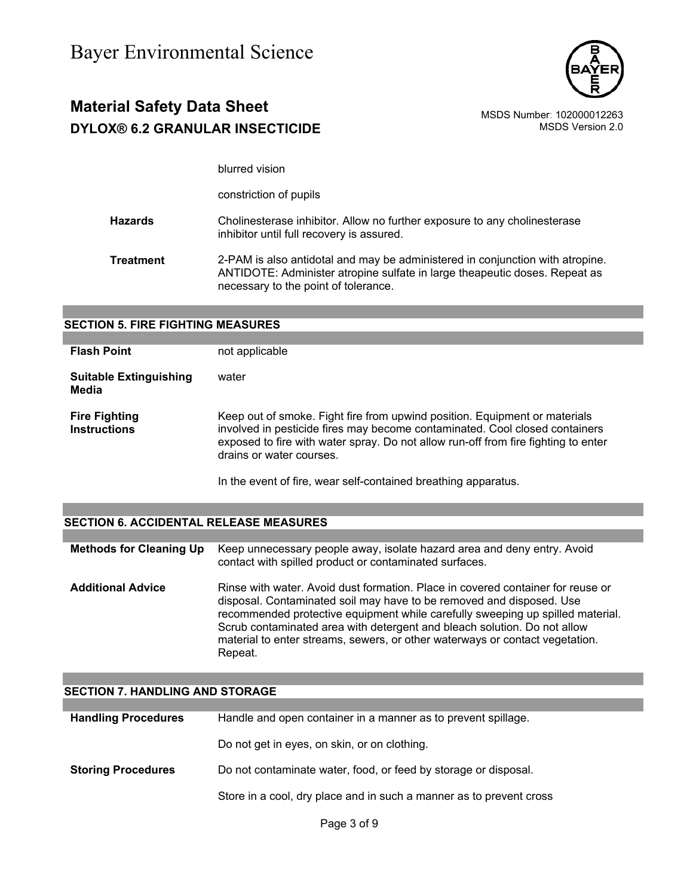

### **Material Safety Data Sheet** Material Safety Data Sheet<br>102000012263 MSDS Number: 102000012263<br>1.0 MSDS Version 2.0 **DYLOX® 6.2 GRANULAR INSECTICIDE**

blurred vision

constriction of pupils

**Hazards** Cholinesterase inhibitor. Allow no further exposure to any cholinesterase inhibitor until full recovery is assured.

**Treatment** 2-PAM is also antidotal and may be administered in conjunction with atropine. ANTIDOTE: Administer atropine sulfate in large theapeutic doses. Repeat as necessary to the point of tolerance.

| <b>SECTION 5. FIRE FIGHTING MEASURES</b>    |                                                                                                                                                                                                                                                                             |  |
|---------------------------------------------|-----------------------------------------------------------------------------------------------------------------------------------------------------------------------------------------------------------------------------------------------------------------------------|--|
|                                             |                                                                                                                                                                                                                                                                             |  |
| <b>Flash Point</b>                          | not applicable                                                                                                                                                                                                                                                              |  |
| <b>Suitable Extinguishing</b><br>Media      | water                                                                                                                                                                                                                                                                       |  |
| <b>Fire Fighting</b><br><b>Instructions</b> | Keep out of smoke. Fight fire from upwind position. Equipment or materials<br>involved in pesticide fires may become contaminated. Cool closed containers<br>exposed to fire with water spray. Do not allow run-off from fire fighting to enter<br>drains or water courses. |  |
|                                             | In the event of fire, wear self-contained breathing apparatus.                                                                                                                                                                                                              |  |

### **SECTION 6. ACCIDENTAL RELEASE MEASURES**

| <b>Methods for Cleaning Up</b> | Keep unnecessary people away, isolate hazard area and deny entry. Avoid<br>contact with spilled product or contaminated surfaces.                                                                                                                                                                                                                                                                                |
|--------------------------------|------------------------------------------------------------------------------------------------------------------------------------------------------------------------------------------------------------------------------------------------------------------------------------------------------------------------------------------------------------------------------------------------------------------|
| <b>Additional Advice</b>       | Rinse with water. Avoid dust formation. Place in covered container for reuse or<br>disposal. Contaminated soil may have to be removed and disposed. Use<br>recommended protective equipment while carefully sweeping up spilled material.<br>Scrub contaminated area with detergent and bleach solution. Do not allow<br>material to enter streams, sewers, or other waterways or contact vegetation.<br>Repeat. |

### **SECTION 7. HANDLING AND STORAGE**

| <b>Handling Procedures</b> | Handle and open container in a manner as to prevent spillage.       |  |
|----------------------------|---------------------------------------------------------------------|--|
|                            | Do not get in eyes, on skin, or on clothing.                        |  |
| <b>Storing Procedures</b>  | Do not contaminate water, food, or feed by storage or disposal.     |  |
|                            | Store in a cool, dry place and in such a manner as to prevent cross |  |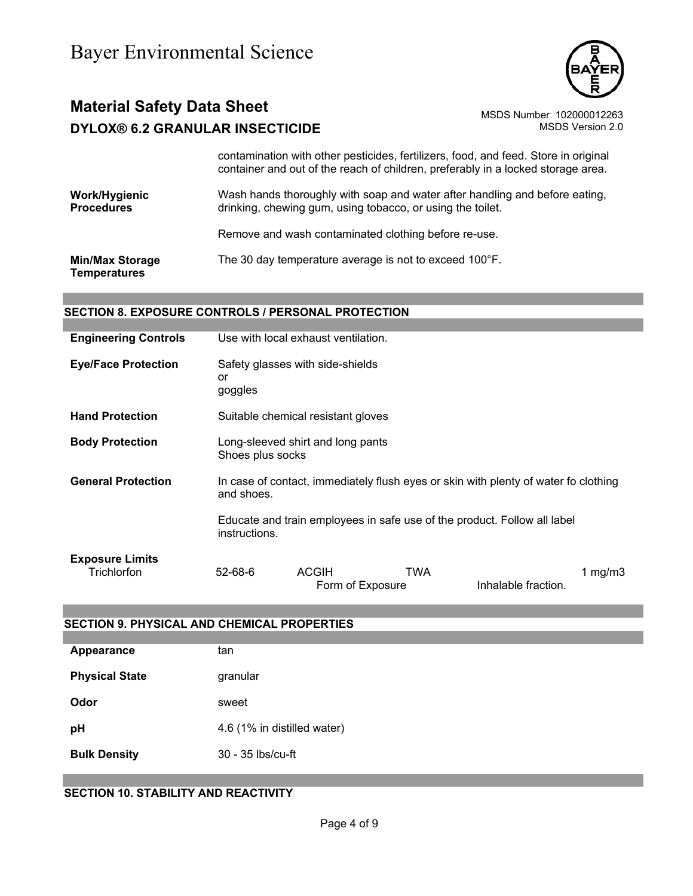

# **Material Safety Data Sheet** Material Safety Data Sheet MSDS Number: 102000012263 **DYLOX® 6.2 GRANULAR INSECTICIDE** MSDS Version 2.0

contamination with other pesticides, fertilizers, food, and feed. Store in original container and out of the reach of children, preferably in a locked storage area.

**Work/Hygienic Procedures** Wash hands thoroughly with soap and water after handling and before eating, drinking, chewing gum, using tobacco, or using the toilet.

Remove and wash contaminated clothing before re-use.

**Min/Max Storage Temperatures** The 30 day temperature average is not to exceed 100°F.

### **SECTION 8. EXPOSURE CONTROLS / PERSONAL PROTECTION**

| <b>Engineering Controls</b>           | Use with local exhaust ventilation.                                                               |                                  |     |                                                                          |            |
|---------------------------------------|---------------------------------------------------------------------------------------------------|----------------------------------|-----|--------------------------------------------------------------------------|------------|
| <b>Eye/Face Protection</b>            | Safety glasses with side-shields<br>or<br>goggles                                                 |                                  |     |                                                                          |            |
| <b>Hand Protection</b>                | Suitable chemical resistant gloves                                                                |                                  |     |                                                                          |            |
| <b>Body Protection</b>                | Long-sleeved shirt and long pants<br>Shoes plus socks                                             |                                  |     |                                                                          |            |
| <b>General Protection</b>             | In case of contact, immediately flush eyes or skin with plenty of water fo clothing<br>and shoes. |                                  |     |                                                                          |            |
|                                       | instructions.                                                                                     |                                  |     | Educate and train employees in safe use of the product. Follow all label |            |
| <b>Exposure Limits</b><br>Trichlorfon | $52 - 68 - 6$                                                                                     | <b>ACGIH</b><br>Form of Exposure | TWA | Inhalable fraction.                                                      | 1 mg/m $3$ |

### **SECTION 9. PHYSICAL AND CHEMICAL PROPERTIES**

| Appearance            | tan                         |
|-----------------------|-----------------------------|
| <b>Physical State</b> | granular                    |
| Odor                  | sweet                       |
| pH                    | 4.6 (1% in distilled water) |
| <b>Bulk Density</b>   | 30 - 35 lbs/cu-ft           |

### **SECTION 10. STABILITY AND REACTIVITY**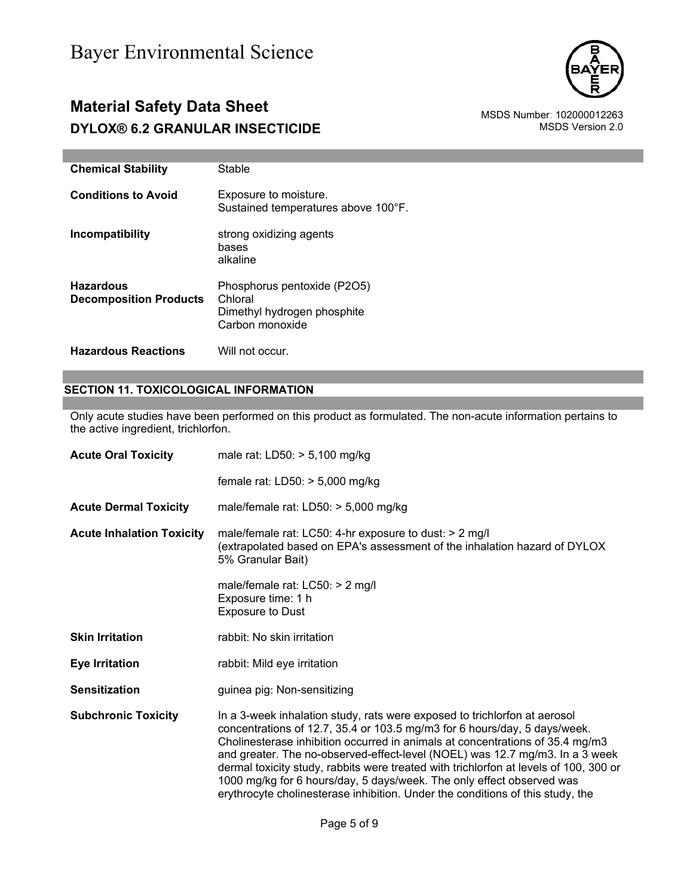### **Material Safety Data Sheet**<br>102000012263 MSDS Number: 102000012263<br>10.0 MSDS Version 2.0 **DYLOX® 6.2 GRANULAR INSECTICIDE**



| <b>Chemical Stability</b>                         | Stable                                                                                   |
|---------------------------------------------------|------------------------------------------------------------------------------------------|
| <b>Conditions to Avoid</b>                        | Exposure to moisture.<br>Sustained temperatures above 100°F.                             |
| Incompatibility                                   | strong oxidizing agents<br>bases<br>alkaline                                             |
| <b>Hazardous</b><br><b>Decomposition Products</b> | Phosphorus pentoxide (P2O5)<br>Chloral<br>Dimethyl hydrogen phosphite<br>Carbon monoxide |
| <b>Hazardous Reactions</b>                        | Will not occur.                                                                          |

### **SECTION 11. TOXICOLOGICAL INFORMATION**

Only acute studies have been performed on this product as formulated. The non-acute information pertains to the active ingredient, trichlorfon.

| male rat: $LD50: > 5,100$ mg/kg                                                                                                                                                                                                                                                                                                                                                                                                                                                                                                                                             |  |
|-----------------------------------------------------------------------------------------------------------------------------------------------------------------------------------------------------------------------------------------------------------------------------------------------------------------------------------------------------------------------------------------------------------------------------------------------------------------------------------------------------------------------------------------------------------------------------|--|
| female rat: $LD50: > 5,000$ mg/kg                                                                                                                                                                                                                                                                                                                                                                                                                                                                                                                                           |  |
| male/female rat: $LD50: > 5,000$ mg/kg                                                                                                                                                                                                                                                                                                                                                                                                                                                                                                                                      |  |
| male/female rat: LC50: 4-hr exposure to dust: $> 2$ mg/l<br><b>Acute Inhalation Toxicity</b><br>(extrapolated based on EPA's assessment of the inhalation hazard of DYLOX<br>5% Granular Bait)                                                                                                                                                                                                                                                                                                                                                                              |  |
| male/female rat: $LCS0:$ > 2 mg/l<br>Exposure time: 1 h<br><b>Exposure to Dust</b>                                                                                                                                                                                                                                                                                                                                                                                                                                                                                          |  |
| rabbit: No skin irritation                                                                                                                                                                                                                                                                                                                                                                                                                                                                                                                                                  |  |
| rabbit: Mild eye irritation                                                                                                                                                                                                                                                                                                                                                                                                                                                                                                                                                 |  |
| guinea pig: Non-sensitizing                                                                                                                                                                                                                                                                                                                                                                                                                                                                                                                                                 |  |
| In a 3-week inhalation study, rats were exposed to trichlorfon at aerosol<br>concentrations of 12.7, 35.4 or 103.5 mg/m3 for 6 hours/day, 5 days/week.<br>Cholinesterase inhibition occurred in animals at concentrations of 35.4 mg/m3<br>and greater. The no-observed-effect-level (NOEL) was 12.7 mg/m3. In a 3 week<br>dermal toxicity study, rabbits were treated with trichlorfon at levels of 100, 300 or<br>1000 mg/kg for 6 hours/day, 5 days/week. The only effect observed was<br>erythrocyte cholinesterase inhibition. Under the conditions of this study, the |  |
|                                                                                                                                                                                                                                                                                                                                                                                                                                                                                                                                                                             |  |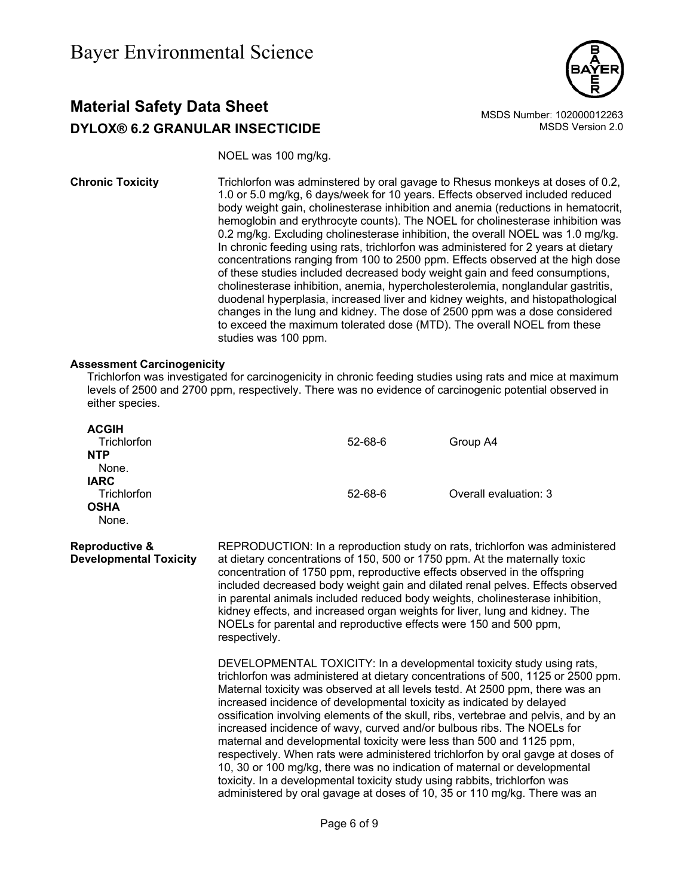

### **Material Safety Data Sheet** Material Safety Data Sheet<br>102000012263 MSDS Number: 102000012263<br>1.0 MSDS Version 2.0 **DYLOX® 6.2 GRANULAR INSECTICIDE**

NOEL was 100 mg/kg.

**Chronic Toxicity** Trichlorfon was adminstered by oral gavage to Rhesus monkeys at doses of 0.2, 1.0 or 5.0 mg/kg, 6 days/week for 10 years. Effects observed included reduced body weight gain, cholinesterase inhibition and anemia (reductions in hematocrit, hemoglobin and erythrocyte counts). The NOEL for cholinesterase inhibition was 0.2 mg/kg. Excluding cholinesterase inhibition, the overall NOEL was 1.0 mg/kg. In chronic feeding using rats, trichlorfon was administered for 2 years at dietary concentrations ranging from 100 to 2500 ppm. Effects observed at the high dose of these studies included decreased body weight gain and feed consumptions, cholinesterase inhibition, anemia, hypercholesterolemia, nonglandular gastritis, duodenal hyperplasia, increased liver and kidney weights, and histopathological changes in the lung and kidney. The dose of 2500 ppm was a dose considered to exceed the maximum tolerated dose (MTD). The overall NOEL from these studies was 100 ppm.

### **Assessment Carcinogenicity**

Trichlorfon was investigated for carcinogenicity in chronic feeding studies using rats and mice at maximum levels of 2500 and 2700 ppm, respectively. There was no evidence of carcinogenic potential observed in either species.

| <b>ACGIH</b><br>Trichlorfon<br><b>NTP</b><br>None.         |                                                                                                                                                                                                                                                                                                                                                                                                                                                                                                                                                                                | $52 - 68 - 6$ | Group A4                                                                                                                                                                                                                                                                                                                                                                                                                                                                                                                                                                                                                                                                                                                                                                                                                                                                                |  |
|------------------------------------------------------------|--------------------------------------------------------------------------------------------------------------------------------------------------------------------------------------------------------------------------------------------------------------------------------------------------------------------------------------------------------------------------------------------------------------------------------------------------------------------------------------------------------------------------------------------------------------------------------|---------------|-----------------------------------------------------------------------------------------------------------------------------------------------------------------------------------------------------------------------------------------------------------------------------------------------------------------------------------------------------------------------------------------------------------------------------------------------------------------------------------------------------------------------------------------------------------------------------------------------------------------------------------------------------------------------------------------------------------------------------------------------------------------------------------------------------------------------------------------------------------------------------------------|--|
| <b>IARC</b><br>Trichlorfon<br><b>OSHA</b><br>None.         |                                                                                                                                                                                                                                                                                                                                                                                                                                                                                                                                                                                | $52 - 68 - 6$ | Overall evaluation: 3                                                                                                                                                                                                                                                                                                                                                                                                                                                                                                                                                                                                                                                                                                                                                                                                                                                                   |  |
| <b>Reproductive &amp;</b><br><b>Developmental Toxicity</b> | REPRODUCTION: In a reproduction study on rats, trichlorfon was administered<br>at dietary concentrations of 150, 500 or 1750 ppm. At the maternally toxic<br>concentration of 1750 ppm, reproductive effects observed in the offspring<br>included decreased body weight gain and dilated renal pelves. Effects observed<br>in parental animals included reduced body weights, cholinesterase inhibition,<br>kidney effects, and increased organ weights for liver, lung and kidney. The<br>NOELs for parental and reproductive effects were 150 and 500 ppm,<br>respectively. |               |                                                                                                                                                                                                                                                                                                                                                                                                                                                                                                                                                                                                                                                                                                                                                                                                                                                                                         |  |
|                                                            |                                                                                                                                                                                                                                                                                                                                                                                                                                                                                                                                                                                |               | DEVELOPMENTAL TOXICITY: In a developmental toxicity study using rats,<br>trichlorfon was administered at dietary concentrations of 500, 1125 or 2500 ppm.<br>Maternal toxicity was observed at all levels testd. At 2500 ppm, there was an<br>increased incidence of developmental toxicity as indicated by delayed<br>ossification involving elements of the skull, ribs, vertebrae and pelvis, and by an<br>increased incidence of wavy, curved and/or bulbous ribs. The NOELs for<br>maternal and developmental toxicity were less than 500 and 1125 ppm,<br>respectively. When rats were administered trichlorfon by oral gavge at doses of<br>10, 30 or 100 mg/kg, there was no indication of maternal or developmental<br>toxicity. In a developmental toxicity study using rabbits, trichlorfon was<br>administered by oral gavage at doses of 10, 35 or 110 mg/kg. There was an |  |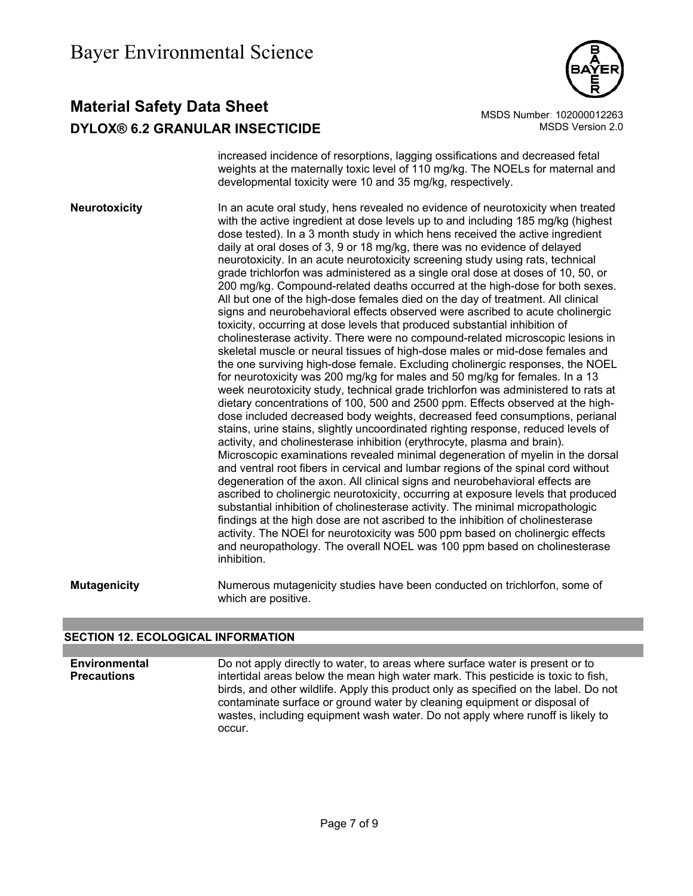

### **Material Safety Data Sheet** Material MSDS Number: 102000012263 **DYLOX® 6.2 GRANULAR INSECTICIDE MSDS** Version 2.0

increased incidence of resorptions, lagging ossifications and decreased fetal weights at the maternally toxic level of 110 mg/kg. The NOELs for maternal and developmental toxicity were 10 and 35 mg/kg, respectively.

**Neurotoxicity** In an acute oral study, hens revealed no evidence of neurotoxicity when treated with the active ingredient at dose levels up to and including 185 mg/kg (highest dose tested). In a 3 month study in which hens received the active ingredient daily at oral doses of 3, 9 or 18 mg/kg, there was no evidence of delayed neurotoxicity. In an acute neurotoxicity screening study using rats, technical grade trichlorfon was administered as a single oral dose at doses of 10, 50, or 200 mg/kg. Compound-related deaths occurred at the high-dose for both sexes. All but one of the high-dose females died on the day of treatment. All clinical signs and neurobehavioral effects observed were ascribed to acute cholinergic toxicity, occurring at dose levels that produced substantial inhibition of cholinesterase activity. There were no compound-related microscopic lesions in skeletal muscle or neural tissues of high-dose males or mid-dose females and the one surviving high-dose female. Excluding cholinergic responses, the NOEL for neurotoxicity was 200 mg/kg for males and 50 mg/kg for females. In a 13 week neurotoxicity study, technical grade trichlorfon was administered to rats at dietary concentrations of 100, 500 and 2500 ppm. Effects observed at the highdose included decreased body weights, decreased feed consumptions, perianal stains, urine stains, slightly uncoordinated righting response, reduced levels of activity, and cholinesterase inhibition (erythrocyte, plasma and brain). Microscopic examinations revealed minimal degeneration of myelin in the dorsal and ventral root fibers in cervical and lumbar regions of the spinal cord without degeneration of the axon. All clinical signs and neurobehavioral effects are ascribed to cholinergic neurotoxicity, occurring at exposure levels that produced substantial inhibition of cholinesterase activity. The minimal micropathologic findings at the high dose are not ascribed to the inhibition of cholinesterase activity. The NOEl for neurotoxicity was 500 ppm based on cholinergic effects and neuropathology. The overall NOEL was 100 ppm based on cholinesterase inhibition.

**Mutagenicity** Numerous mutagenicity studies have been conducted on trichlorfon, some of which are positive.

### **SECTION 12. ECOLOGICAL INFORMATION**

**Environmental Precautions**  Do not apply directly to water, to areas where surface water is present or to intertidal areas below the mean high water mark. This pesticide is toxic to fish, birds, and other wildlife. Apply this product only as specified on the label. Do not contaminate surface or ground water by cleaning equipment or disposal of wastes, including equipment wash water. Do not apply where runoff is likely to occur.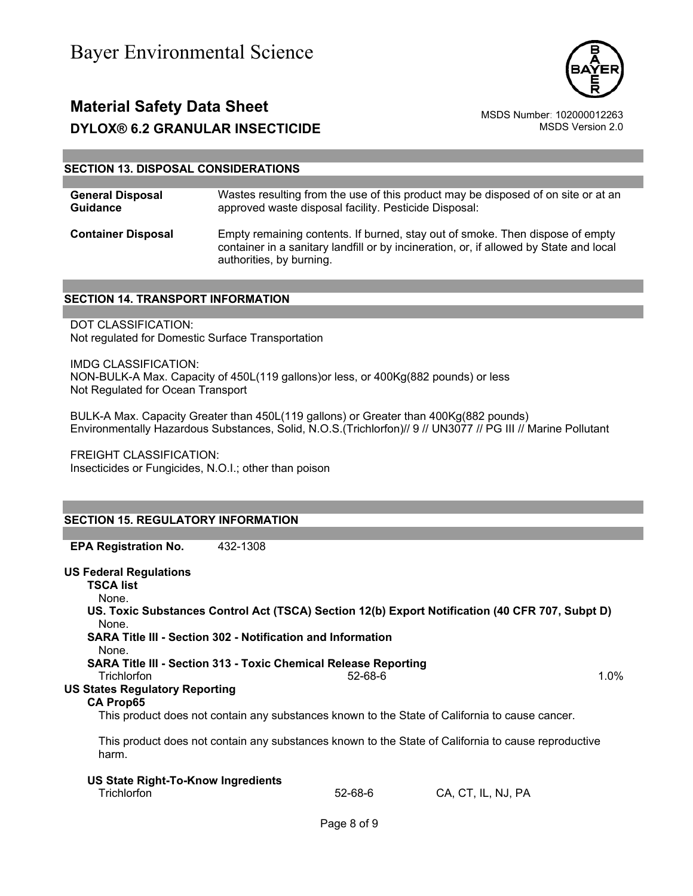



### **SECTION 13. DISPOSAL CONSIDERATIONS**

| <b>General Disposal</b>   | Wastes resulting from the use of this product may be disposed of on site or at an                                                                                                                   |
|---------------------------|-----------------------------------------------------------------------------------------------------------------------------------------------------------------------------------------------------|
| <b>Guidance</b>           | approved waste disposal facility. Pesticide Disposal:                                                                                                                                               |
| <b>Container Disposal</b> | Empty remaining contents. If burned, stay out of smoke. Then dispose of empty<br>container in a sanitary landfill or by incineration, or, if allowed by State and local<br>authorities, by burning. |

#### **SECTION 14. TRANSPORT INFORMATION**

DOT CLASSIFICATION: Not regulated for Domestic Surface Transportation

IMDG CLASSIFICATION: NON-BULK-A Max. Capacity of 450L(119 gallons)or less, or 400Kg(882 pounds) or less Not Regulated for Ocean Transport

BULK-A Max. Capacity Greater than 450L(119 gallons) or Greater than 400Kg(882 pounds) Environmentally Hazardous Substances, Solid, N.O.S.(Trichlorfon)// 9 // UN3077 // PG III // Marine Pollutant

FREIGHT CLASSIFICATION: Insecticides or Fungicides, N.O.I.; other than poison

### **SECTION 15. REGULATORY INFORMATION**

**EPA Registration No.** 432-1308

#### **US Federal Regulations**

**TSCA list** None. **US. Toxic Substances Control Act (TSCA) Section 12(b) Export Notification (40 CFR 707, Subpt D)** None. **SARA Title III - Section 302 - Notification and Information** None. **SARA Title III - Section 313 - Toxic Chemical Release Reporting**

Trichlorfon 52-68-6 1.0%

### **US States Regulatory Reporting**

#### **CA Prop65**

This product does not contain any substances known to the State of California to cause cancer.

This product does not contain any substances known to the State of California to cause reproductive harm.

| US State Right-To-Know Ingredients |         |                    |
|------------------------------------|---------|--------------------|
| Trichlorfon                        | 52-68-6 | CA, CT, IL, NJ, PA |